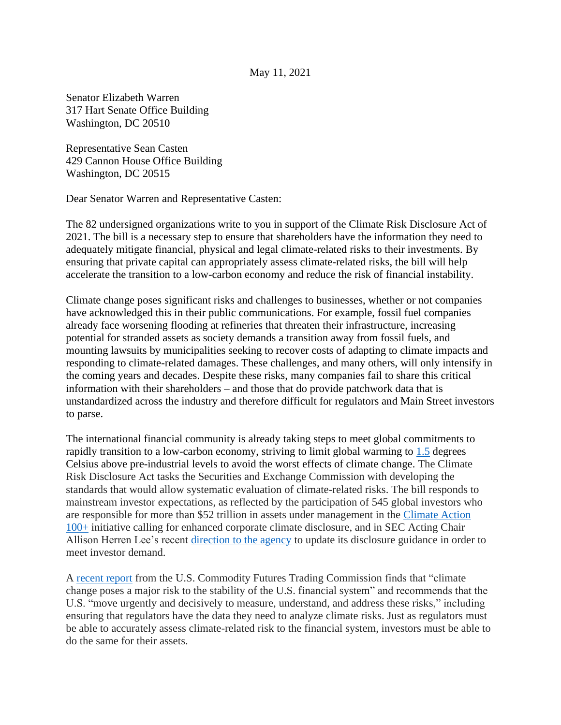Senator Elizabeth Warren 317 Hart Senate Office Building Washington, DC 20510

Representative Sean Casten 429 Cannon House Office Building Washington, DC 20515

Dear Senator Warren and Representative Casten:

The 82 undersigned organizations write to you in support of the Climate Risk Disclosure Act of 2021. The bill is a necessary step to ensure that shareholders have the information they need to adequately mitigate financial, physical and legal climate-related risks to their investments. By ensuring that private capital can appropriately assess climate-related risks, the bill will help accelerate the transition to a low-carbon economy and reduce the risk of financial instability.

Climate change poses significant risks and challenges to businesses, whether or not companies have acknowledged this in their public communications. For example, fossil fuel companies already face worsening flooding at refineries that threaten their infrastructure, increasing potential for stranded assets as society demands a transition away from fossil fuels, and mounting lawsuits by municipalities seeking to recover costs of adapting to climate impacts and responding to climate-related damages. These challenges, and many others, will only intensify in the coming years and decades. Despite these risks, many companies fail to share this critical information with their shareholders – and those that do provide patchwork data that is unstandardized across the industry and therefore difficult for regulators and Main Street investors to parse.

The international financial community is already taking steps to meet global commitments to rapidly transition to a low-carbon economy, striving to limit global warming to [1.5](https://www.ipcc.ch/sr15/) degrees Celsius above pre-industrial levels to avoid the worst effects of climate change. The Climate Risk Disclosure Act tasks the Securities and Exchange Commission with developing the standards that would allow systematic evaluation of climate-related risks. The bill responds to mainstream investor expectations, as reflected by the participation of 545 global investors who are responsible for more than \$52 trillion in assets under management in the [Climate Action](https://www.climateaction100.org/)  [100+](https://www.climateaction100.org/) initiative calling for enhanced corporate climate disclosure, and in SEC Acting Chair Allison Herren Lee's recent [direction to the agency](https://www.sec.gov/news/public-statement/lee-climate-change-disclosures#_ftn2) to update its disclosure guidance in order to meet investor demand.

A [recent report](https://www.cftc.gov/sites/default/files/2020-09/9-9-20%20Report%20of%20the%20Subcommittee%20on%20Climate-Related%20Market%20Risk%20-%20Managing%20Climate%20Risk%20in%20the%20U.S.%20Financial%20System%20for%20posting.pdf) from the U.S. Commodity Futures Trading Commission finds that "climate change poses a major risk to the stability of the U.S. financial system" and recommends that the U.S. "move urgently and decisively to measure, understand, and address these risks," including ensuring that regulators have the data they need to analyze climate risks. Just as regulators must be able to accurately assess climate-related risk to the financial system, investors must be able to do the same for their assets.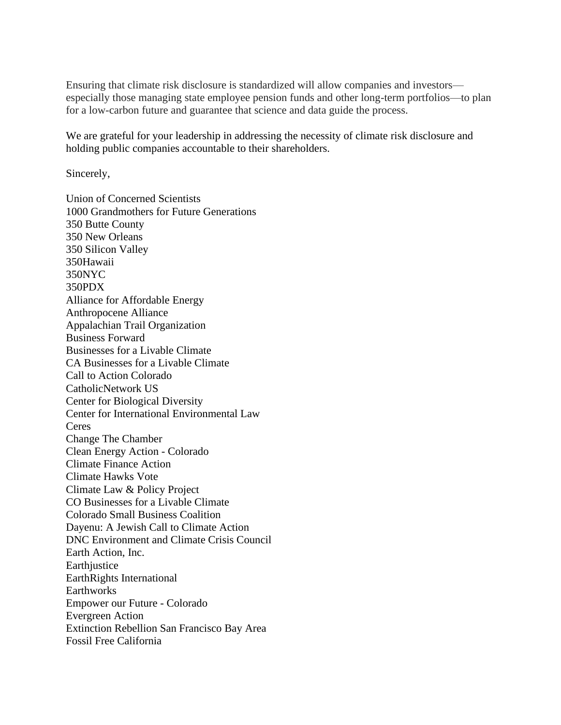Ensuring that climate risk disclosure is standardized will allow companies and investors especially those managing state employee pension funds and other long-term portfolios—to plan for a low-carbon future and guarantee that science and data guide the process.

We are grateful for your leadership in addressing the necessity of climate risk disclosure and holding public companies accountable to their shareholders.

Sincerely,

Union of Concerned Scientists 1000 Grandmothers for Future Generations 350 Butte County 350 New Orleans 350 Silicon Valley 350Hawaii 350NYC 350PDX Alliance for Affordable Energy Anthropocene Alliance Appalachian Trail Organization Business Forward Businesses for a Livable Climate CA Businesses for a Livable Climate Call to Action Colorado CatholicNetwork US Center for Biological Diversity Center for International Environmental Law Ceres Change The Chamber Clean Energy Action - Colorado Climate Finance Action Climate Hawks Vote Climate Law & Policy Project CO Businesses for a Livable Climate Colorado Small Business Coalition Dayenu: A Jewish Call to Climate Action DNC Environment and Climate Crisis Council Earth Action, Inc. **Earthjustice** EarthRights International **Earthworks** Empower our Future - Colorado Evergreen Action Extinction Rebellion San Francisco Bay Area Fossil Free California